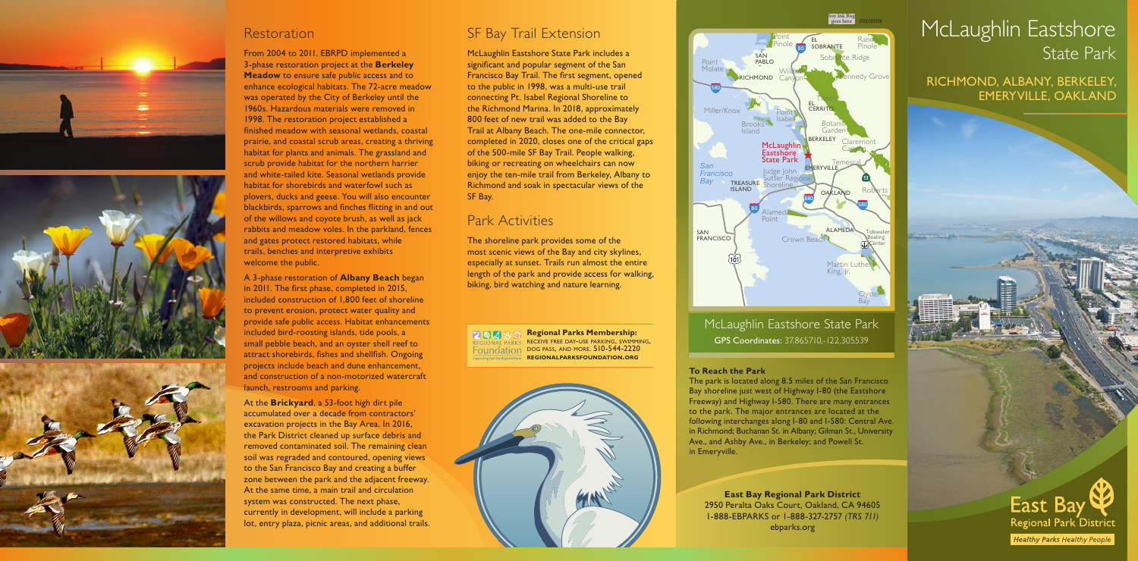**East Bay Regional Park District** 2950 Peralta Oaks Court, Oakland, CA 94605 1-888-EBPARKS or 1-888-327-2757 *(TRS 711)*  ebparks.org

# McLaughlin Eastshore State Park

RICHMOND, ALBANY, BERKELEY, EMERYVILLE, OAKLAND









#### Restoration

From 2004 to 2011, EBRPD implemented a 3-phase restoration project at the **Berkeley Meadow** to ensure safe public access and to enhance ecological habitats. The 72-acre meadow was operated by the City of Berkeley until the 1960s. Hazardous materials were removed in 1998. The restoration project established a finished meadow with seasonal wetlands, coastal prairie, and coastal scrub areas, creating a thriving habitat for plants and animals. The grassland and scrub provide habitat for the northern harrier and white-tailed kite. Seasonal wetlands provide habitat for shorebirds and waterfowl such as plovers, ducks and geese. You will also encounter blackbirds, sparrows and finches flitting in and out of the willows and coyote brush, as well as jack rabbits and meadow voles. In the parkland, fences and gates protect restored habitats, while trails, benches and interpretive exhibits welcome the public.

A 3-phase restoration of **Albany Beach** began in 2011. The first phase, completed in 2015, included construction of 1,800 feet of shoreline to prevent erosion, protect water quality and provide safe public access. Habitat enhancements included bird-roosting islands, tide pools, a small pebble beach, and an oyster shell reef to attract shorebirds, fishes and shellfish. Ongoing projects include beach and dune enhancement, and construction of a non-motorized watercraft launch, restrooms and parking.

At the **Brickyard**, a 53-foot high dirt pile accumulated over a decade from contractors' excavation projects in the Bay Area. In 2016, the Park District cleaned up surface debris and removed contaminated soil. The remaining clean soil was regraded and contoured, opening views to the San Francisco Bay and creating a buffer zone between the park and the adjacent freeway. At the same time, a main trail and circulation system was constructed. The next phase, currently in development, will include a parking lot, entry plaza, picnic areas, and additional trails.



#### **To Reach the Park**

The park is located along 8.5 miles of the San Francisco Bay shoreline just west of Highway I-80 (the Eastshore Freeway) and Highway I-580. There are many entrances to the park. The major entrances are located at the following interchanges along I-80 and I-580: Central Ave. in Richmond; Buchanan St. in Albany; Gilman St., University Ave., and Ashby Ave., in Berkeley; and Powell St. in Emeryville.

#### SF Bay Trail Extension

McLaughlin Eastshore State Park includes a significant and popular segment of the San Francisco Bay Trail. The first segment, opened to the public in 1998, was a multi-use trail connecting Pt. Isabel Regional Shoreline to the Richmond Marina. In 2018, approximately 800 feet of new trail was added to the Bay Trail at Albany Beach. The one-mile connector, completed in 2020, closes one of the critical gaps of the 500-mile SF Bay Trail. People walking, biking or recreating on wheelchairs can now enjoy the ten-mile trail from Berkeley, Albany to Richmond and soak in spectacular views of the SF Bay.

#### Park Activities

The shoreline park provides some of the most scenic views of the Bay and city skylines, especially at sunset. Trails run almost the entire length of the park and provide access for walking, biking, bird watching and nature learning.

**Regional Parks Membership:**  $201$ receive free day -use parking, swimming, Foundation DOG PASS, AND MORE. 510-544-2220 **regionalparksfoundation .org**



McLaughlin Eastshore State Park GPS Coordinates: 37.865710,-122.305539